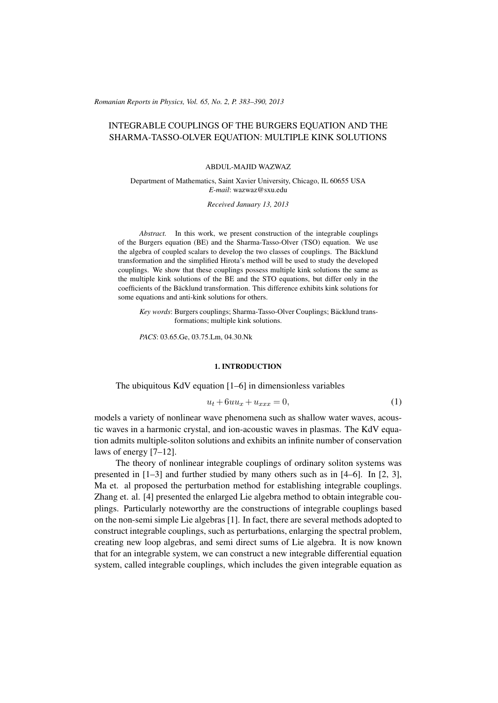(c) RRP 65(No. 2) 383–390 2013 *Romanian Reports in Physics, Vol. 65, No. 2, P. 383–390, 2013*

# INTEGRABLE COUPLINGS OF THE BURGERS EQUATION AND THE SHARMA-TASSO-OLVER EQUATION: MULTIPLE KINK SOLUTIONS

#### ABDUL-MAJID WAZWAZ

Department of Mathematics, Saint Xavier University, Chicago, IL 60655 USA *E-mail*: wazwaz@sxu.edu

*Received January 13, 2013*

*Abstract.* In this work, we present construction of the integrable couplings of the Burgers equation (BE) and the Sharma-Tasso-Olver (TSO) equation. We use the algebra of coupled scalars to develop the two classes of couplings. The Bäcklund transformation and the simplified Hirota's method will be used to study the developed couplings. We show that these couplings possess multiple kink solutions the same as the multiple kink solutions of the BE and the STO equations, but differ only in the coefficients of the Bäcklund transformation. This difference exhibits kink solutions for some equations and anti-kink solutions for others.

*Key words*: Burgers couplings; Sharma-Tasso-Olver Couplings; Bäcklund transformations; multiple kink solutions.

*PACS*: 03.65.Ge, 03.75.Lm, 04.30.Nk

### 1. INTRODUCTION

The ubiquitous KdV equation [1–6] in dimensionless variables

$$
u_t + 6uu_x + u_{xxx} = 0,\t\t(1)
$$

models a variety of nonlinear wave phenomena such as shallow water waves, acoustic waves in a harmonic crystal, and ion-acoustic waves in plasmas. The KdV equation admits multiple-soliton solutions and exhibits an infinite number of conservation laws of energy [7–12].

The theory of nonlinear integrable couplings of ordinary soliton systems was presented in [1–3] and further studied by many others such as in [4–6]. In [2, 3], Ma et. al proposed the perturbation method for establishing integrable couplings. Zhang et. al. [4] presented the enlarged Lie algebra method to obtain integrable couplings. Particularly noteworthy are the constructions of integrable couplings based on the non-semi simple Lie algebras [1]. In fact, there are several methods adopted to construct integrable couplings, such as perturbations, enlarging the spectral problem, creating new loop algebras, and semi direct sums of Lie algebra. It is now known that for an integrable system, we can construct a new integrable differential equation system, called integrable couplings, which includes the given integrable equation as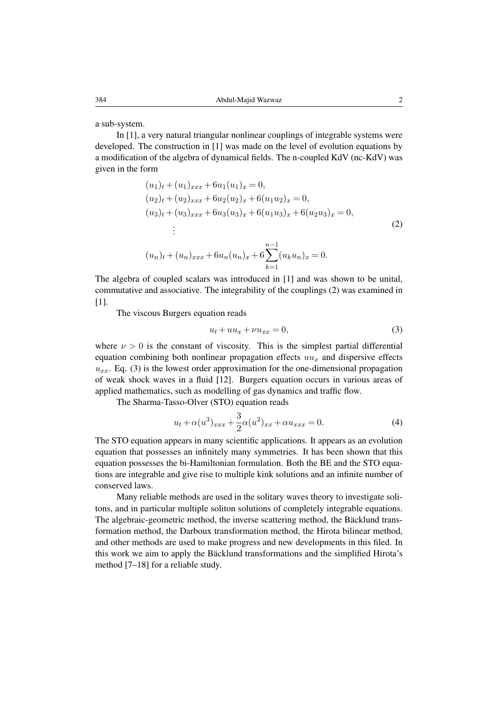a sub-system.

In [1], a very natural triangular nonlinear couplings of integrable systems were developed. The construction in [1] was made on the level of evolution equations by a modification of the algebra of dynamical fields. The n-coupled KdV (nc-KdV) was given in the form

$$
(u_1)_t + (u_1)_{xxx} + 6u_1(u_1)_x = 0,
$$
  
\n
$$
(u_2)_t + (u_2)_{xxx} + 6u_2(u_2)_x + 6(u_1u_2)_x = 0,
$$
  
\n
$$
(u_3)_t + (u_3)_{xxx} + 6u_3(u_3)_x + 6(u_1u_3)_x + 6(u_2u_3)_x = 0,
$$
  
\n
$$
\vdots
$$
  
\n
$$
(u_n)_t + (u_n)_{xxx} + 6u_n(u_n)_x + 6\sum_{k=1}^{n-1} (u_ku_n)_x = 0.
$$
\n(2)

The algebra of coupled scalars was introduced in [1] and was shown to be unital, commutative and associative. The integrability of the couplings (2) was examined in [1].

The viscous Burgers equation reads

$$
u_t + uu_x + \nu u_{xx} = 0,\t\t(3)
$$

where  $\nu > 0$  is the constant of viscosity. This is the simplest partial differential equation combining both nonlinear propagation effects  $uu_x$  and dispersive effects  $u_{xx}$ . Eq. (3) is the lowest order approximation for the one-dimensional propagation of weak shock waves in a fluid [12]. Burgers equation occurs in various areas of applied mathematics, such as modelling of gas dynamics and traffic flow.

The Sharma-Tasso-Olver (STO) equation reads

$$
u_t + \alpha(u^3)_{xxx} + \frac{3}{2}\alpha(u^2)_{xx} + \alpha u_{xxx} = 0.
$$
 (4)

The STO equation appears in many scientific applications. It appears as an evolution equation that possesses an infinitely many symmetries. It has been shown that this equation possesses the bi-Hamiltonian formulation. Both the BE and the STO equations are integrable and give rise to multiple kink solutions and an infinite number of conserved laws.

Many reliable methods are used in the solitary waves theory to investigate solitons, and in particular multiple soliton solutions of completely integrable equations. The algebraic-geometric method, the inverse scattering method, the Bäcklund transformation method, the Darboux transformation method, the Hirota bilinear method, and other methods are used to make progress and new developments in this filed. In this work we aim to apply the Bäcklund transformations and the simplified Hirota's method [7–18] for a reliable study.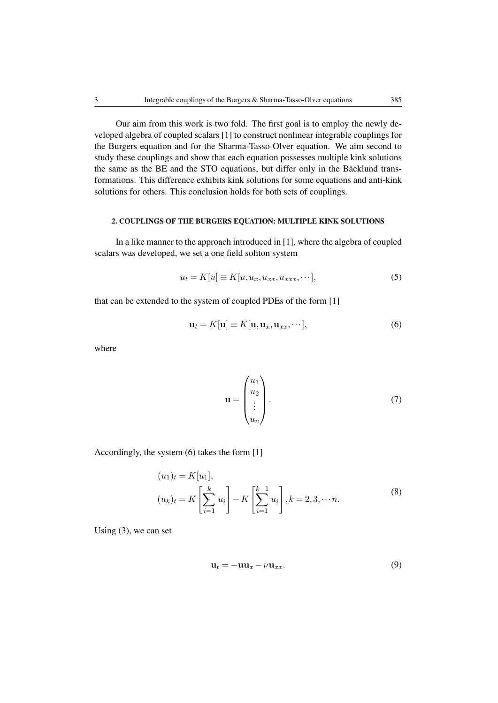Our aim from this work is two fold. The first goal is to employ the newly developed algebra of coupled scalars [1] to construct nonlinear integrable couplings for the Burgers equation and for the Sharma-Tasso-Olver equation. We aim second to study these couplings and show that each equation possesses multiple kink solutions the same as the BE and the STO equations, but differ only in the Bäcklund transformations. This difference exhibits kink solutions for some equations and anti-kink solutions for others. This conclusion holds for both sets of couplings.

## 2. COUPLINGS OF THE BURGERS EQUATION: MULTIPLE KINK SOLUTIONS

In a like manner to the approach introduced in [1], where the algebra of coupled scalars was developed, we set a one field soliton system

$$
u_t = K[u] \equiv K[u, u_x, u_{xx}, u_{xxx}, \cdots], \tag{5}
$$

that can be extended to the system of coupled PDEs of the form [1]

$$
\mathbf{u}_t = K[\mathbf{u}] \equiv K[\mathbf{u}, \mathbf{u}_x, \mathbf{u}_{xx}, \cdots],\tag{6}
$$

where

$$
\mathbf{u} = \begin{pmatrix} u_1 \\ u_2 \\ \vdots \\ u_n \end{pmatrix} . \tag{7}
$$

Accordingly, the system (6) takes the form [1]

$$
(u_1)_t = K[u_1],
$$
  
\n
$$
(u_k)_t = K\left[\sum_{i=1}^k u_i\right] - K\left[\sum_{i=1}^{k-1} u_i\right], k = 2, 3, \dots n.
$$
\n(8)

Using (3), we can set

$$
\mathbf{u}_t = -\mathbf{u}\mathbf{u}_x - \nu \mathbf{u}_{xx}.\tag{9}
$$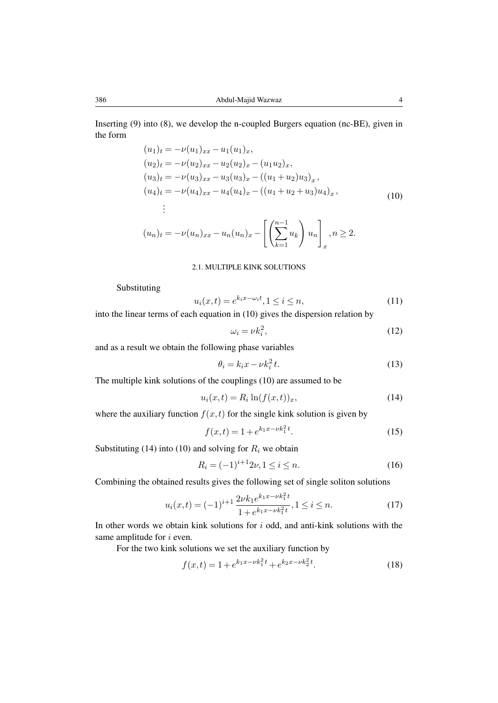Inserting (9) into (8), we develop the n-coupled Burgers equation (nc-BE), given in the form

$$
(u_1)_t = -\nu(u_1)_{xx} - u_1(u_1)_x,
$$
  
\n
$$
(u_2)_t = -\nu(u_2)_{xx} - u_2(u_2)_x - (u_1u_2)_x,
$$
  
\n
$$
(u_3)_t = -\nu(u_3)_{xx} - u_3(u_3)_x - ((u_1 + u_2)u_3)_x,
$$
  
\n
$$
(u_4)_t = -\nu(u_4)_{xx} - u_4(u_4)_x - ((u_1 + u_2 + u_3)u_4)_x,
$$
  
\n
$$
\vdots
$$
  
\n
$$
(u_n)_t = -\nu(u_n)_{xx} - u_n(u_n)_x - \left[ \left( \sum_{k=1}^{n-1} u_k \right) u_n \right]_x, n \ge 2.
$$
\n(10)

#### 2.1. MULTIPLE KINK SOLUTIONS

Substituting

$$
u_i(x,t) = e^{k_i x - \omega_i t}, 1 \le i \le n,
$$
\n<sup>(11)</sup>

into the linear terms of each equation in (10) gives the dispersion relation by

$$
\omega_i = \nu k_i^2,\tag{12}
$$

and as a result we obtain the following phase variables

$$
\theta_i = k_i x - \nu k_i^2 t. \tag{13}
$$

The multiple kink solutions of the couplings (10) are assumed to be

$$
u_i(x,t) = R_i \ln(f(x,t))_x,\tag{14}
$$

where the auxiliary function  $f(x, t)$  for the single kink solution is given by

$$
f(x,t) = 1 + e^{k_1 x - \nu k_1^2 t}.
$$
 (15)

Substituting (14) into (10) and solving for  $R_i$  we obtain

$$
R_i = (-1)^{i+1} 2\nu, 1 \le i \le n. \tag{16}
$$

Combining the obtained results gives the following set of single soliton solutions

$$
u_i(x,t) = (-1)^{i+1} \frac{2\nu k_1 e^{k_1 x - \nu k_1^2 t}}{1 + e^{k_1 x - \nu k_1^2 t}}, 1 \le i \le n.
$$
 (17)

In other words we obtain kink solutions for  $i$  odd, and anti-kink solutions with the same amplitude for *i* even.

For the two kink solutions we set the auxiliary function by

$$
f(x,t) = 1 + e^{k_1 x - \nu k_1^2 t} + e^{k_2 x - \nu k_2^2 t}.
$$
 (18)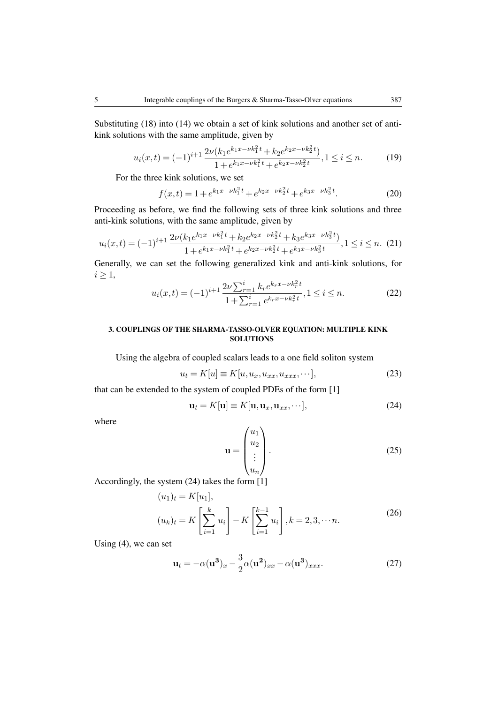Substituting (18) into (14) we obtain a set of kink solutions and another set of antikink solutions with the same amplitude, given by

$$
u_i(x,t) = (-1)^{i+1} \frac{2\nu (k_1 e^{k_1 x - \nu k_1^2 t} + k_2 e^{k_2 x - \nu k_2^2 t})}{1 + e^{k_1 x - \nu k_1^2 t} + e^{k_2 x - \nu k_2^2 t}}, 1 \le i \le n.
$$
 (19)

For the three kink solutions, we set

$$
f(x,t) = 1 + e^{k_1 x - \nu k_1^2 t} + e^{k_2 x - \nu k_2^2 t} + e^{k_3 x - \nu k_3^2 t}.
$$
 (20)

Proceeding as before, we find the following sets of three kink solutions and three anti-kink solutions, with the same amplitude, given by

$$
u_i(x,t) = (-1)^{i+1} \frac{2\nu (k_1 e^{k_1 x - \nu k_1^2 t} + k_2 e^{k_2 x - \nu k_2^2 t} + k_3 e^{k_3 x - \nu k_3^2 t})}{1 + e^{k_1 x - \nu k_1^2 t} + e^{k_2 x - \nu k_2^2 t} + e^{k_3 x - \nu k_3^2 t}}, 1 \le i \le n. \tag{21}
$$

Generally, we can set the following generalized kink and anti-kink solutions, for  $i \geq 1$ ,

$$
u_i(x,t) = (-1)^{i+1} \frac{2\nu \sum_{r=1}^i k_r e^{k_r x - \nu k_r^2 t}}{1 + \sum_{r=1}^i e^{k_r x - \nu k_r^2 t}}, 1 \le i \le n.
$$
 (22)

## 3. COUPLINGS OF THE SHARMA-TASSO-OLVER EQUATION: MULTIPLE KINK **SOLUTIONS**

Using the algebra of coupled scalars leads to a one field soliton system

$$
u_t = K[u] \equiv K[u, u_x, u_{xx}, u_{xxx}, \cdots], \tag{23}
$$

that can be extended to the system of coupled PDEs of the form [1]

$$
\mathbf{u}_t = K[\mathbf{u}] \equiv K[\mathbf{u}, \mathbf{u}_x, \mathbf{u}_{xx}, \cdots], \tag{24}
$$

where

$$
\mathbf{u} = \begin{pmatrix} u_1 \\ u_2 \\ \vdots \\ u_n \end{pmatrix} . \tag{25}
$$

Accordingly, the system (24) takes the form [1]

$$
(u_1)_t = K[u_1],
$$
  
\n
$$
(u_k)_t = K\left[\sum_{i=1}^k u_i\right] - K\left[\sum_{i=1}^{k-1} u_i\right], k = 2, 3, \dots n.
$$
\n(26)

Using (4), we can set

$$
\mathbf{u}_t = -\alpha(\mathbf{u}^3)_x - \frac{3}{2}\alpha(\mathbf{u}^2)_{xx} - \alpha(\mathbf{u}^3)_{xxx}.
$$
 (27)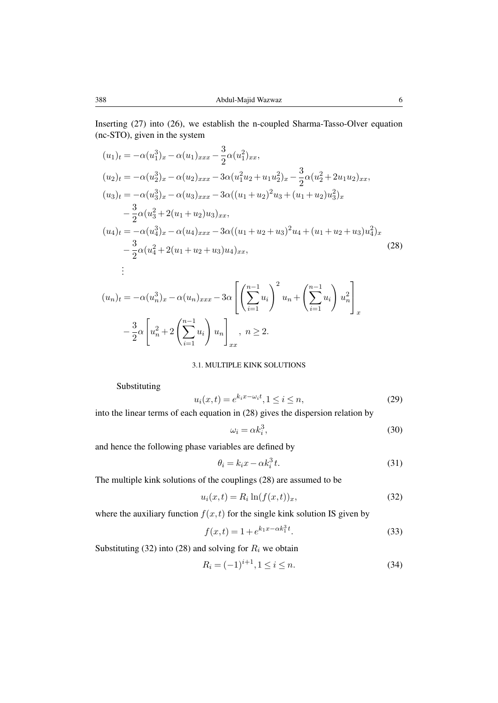Inserting (27) into (26), we establish the n-coupled Sharma-Tasso-Olver equation (nc-STO), given in the system

$$
(u_1)_t = -\alpha(u_1^3)_x - \alpha(u_1)_{xxx} - \frac{3}{2}\alpha(u_1^2)_{xx},
$$
  
\n
$$
(u_2)_t = -\alpha(u_2^3)_x - \alpha(u_2)_{xxx} - 3\alpha(u_1^2u_2 + u_1u_2^2)_x - \frac{3}{2}\alpha(u_2^2 + 2u_1u_2)_{xx},
$$
  
\n
$$
(u_3)_t = -\alpha(u_3^3)_x - \alpha(u_3)_{xxx} - 3\alpha((u_1 + u_2)^2u_3 + (u_1 + u_2)u_3^2)_x
$$
  
\n
$$
- \frac{3}{2}\alpha(u_3^2 + 2(u_1 + u_2)u_3)_{xx},
$$
  
\n
$$
(u_4)_t = -\alpha(u_4^3)_x - \alpha(u_4)_{xxx} - 3\alpha((u_1 + u_2 + u_3)^2u_4 + (u_1 + u_2 + u_3)u_4^2)_x
$$
  
\n
$$
- \frac{3}{2}\alpha(u_4^2 + 2(u_1 + u_2 + u_3)u_4)_{xx},
$$
  
\n
$$
\vdots
$$
\n(28)

$$
(u_n)_t = -\alpha (u_n^3)_x - \alpha (u_n)_{xxx} - 3\alpha \left[ \left( \sum_{i=1}^{n-1} u_i \right)^2 u_n + \left( \sum_{i=1}^{n-1} u_i \right) u_n^2 \right]_x
$$

$$
- \frac{3}{2} \alpha \left[ u_n^2 + 2 \left( \sum_{i=1}^{n-1} u_i \right) u_n \right]_{xx}, \ n \ge 2.
$$

### 3.1. MULTIPLE KINK SOLUTIONS

Substituting

$$
u_i(x,t) = e^{k_i x - \omega_i t}, 1 \le i \le n,
$$
\n<sup>(29)</sup>

into the linear terms of each equation in (28) gives the dispersion relation by

$$
\omega_i = \alpha k_i^3,\tag{30}
$$

and hence the following phase variables are defined by

$$
\theta_i = k_i x - \alpha k_i^3 t. \tag{31}
$$

The multiple kink solutions of the couplings (28) are assumed to be

$$
u_i(x,t) = R_i \ln(f(x,t))_x,\tag{32}
$$

where the auxiliary function  $f(x, t)$  for the single kink solution IS given by

$$
f(x,t) = 1 + e^{k_1 x - \alpha k_1^3 t}.
$$
\n(33)

Substituting (32) into (28) and solving for  $R_i$  we obtain

$$
R_i = (-1)^{i+1}, 1 \le i \le n.
$$
\n(34)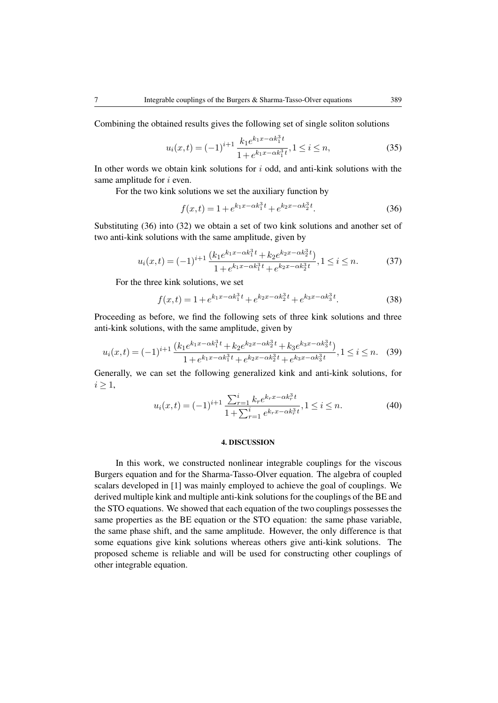Combining the obtained results gives the following set of single soliton solutions

$$
u_i(x,t) = (-1)^{i+1} \frac{k_1 e^{k_1 x - \alpha k_1^3 t}}{1 + e^{k_1 x - \alpha k_1^3 t}}, 1 \le i \le n,
$$
\n(35)

In other words we obtain kink solutions for  $i$  odd, and anti-kink solutions with the same amplitude for *i* even.

For the two kink solutions we set the auxiliary function by

$$
f(x,t) = 1 + e^{k_1 x - \alpha k_1^3 t} + e^{k_2 x - \alpha k_2^3 t}.
$$
 (36)

Substituting (36) into (32) we obtain a set of two kink solutions and another set of two anti-kink solutions with the same amplitude, given by

$$
u_i(x,t) = (-1)^{i+1} \frac{\left(k_1 e^{k_1 x - \alpha k_1^3 t} + k_2 e^{k_2 x - \alpha k_2^3 t}\right)}{1 + e^{k_1 x - \alpha k_1^3 t} + e^{k_2 x - \alpha k_2^3 t}}, 1 \le i \le n.
$$
 (37)

For the three kink solutions, we set

$$
f(x,t) = 1 + e^{k_1 x - \alpha k_1^3 t} + e^{k_2 x - \alpha k_2^3 t} + e^{k_3 x - \alpha k_3^3 t}.
$$
 (38)

Proceeding as before, we find the following sets of three kink solutions and three anti-kink solutions, with the same amplitude, given by

$$
u_i(x,t) = (-1)^{i+1} \frac{\left(k_1 e^{k_1 x - \alpha k_1^3 t} + k_2 e^{k_2 x - \alpha k_2^3 t} + k_3 e^{k_3 x - \alpha k_3^3 t}\right)}{1 + e^{k_1 x - \alpha k_1^3 t} + e^{k_2 x - \alpha k_2^3 t} + e^{k_3 x - \alpha k_3^3 t}}, 1 \le i \le n. \tag{39}
$$

Generally, we can set the following generalized kink and anti-kink solutions, for  $i \geq 1$ ,

$$
u_i(x,t) = (-1)^{i+1} \frac{\sum_{r=1}^i k_r e^{k_r x - \alpha k_r^3 t}}{1 + \sum_{r=1}^i e^{k_r x - \alpha k_r^3 t}}, 1 \le i \le n.
$$
 (40)

#### 4. DISCUSSION

In this work, we constructed nonlinear integrable couplings for the viscous Burgers equation and for the Sharma-Tasso-Olver equation. The algebra of coupled scalars developed in [1] was mainly employed to achieve the goal of couplings. We derived multiple kink and multiple anti-kink solutions for the couplings of the BE and the STO equations. We showed that each equation of the two couplings possesses the same properties as the BE equation or the STO equation: the same phase variable, the same phase shift, and the same amplitude. However, the only difference is that some equations give kink solutions whereas others give anti-kink solutions. The proposed scheme is reliable and will be used for constructing other couplings of other integrable equation.